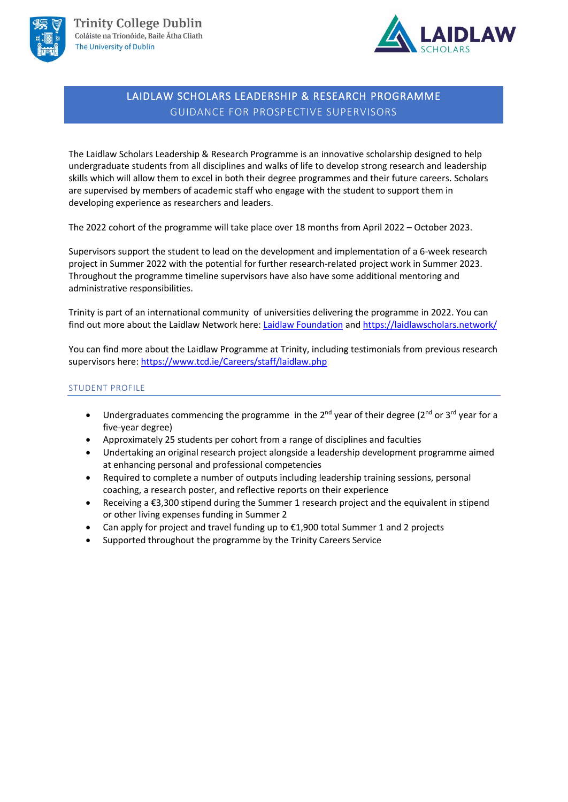



## LAIDLAW SCHOLARS LEADERSHIP & RESEARCH PROGRAMME GUIDANCE FOR PROSPECTIVE SUPERVISORS

The Laidlaw Scholars Leadership & Research Programme is an innovative scholarship designed to help undergraduate students from all disciplines and walks of life to develop strong research and leadership skills which will allow them to excel in both their degree programmes and their future careers. Scholars are supervised by members of academic staff who engage with the student to support them in developing experience as researchers and leaders.

The 2022 cohort of the programme will take place over 18 months from April 2022 – October 2023.

Supervisors support the student to lead on the development and implementation of a 6-week research project in Summer 2022 with the potential for further research-related project work in Summer 2023. Throughout the programme timeline supervisors have also have some additional mentoring and administrative responsibilities.

Trinity is part of an international community of universities delivering the programme in 2022. You can find out more about the Laidlaw Network here: [Laidlaw Foundation](https://laidlawfoundation.com/scholars/#_undergraduate-scholars) an[d https://laidlawscholars.network/](https://laidlawscholars.network/)

You can find more about the Laidlaw Programme at Trinity, including testimonials from previous research supervisors here: <https://www.tcd.ie/Careers/staff/laidlaw.php>

## STUDENT PROFILE

- Undergraduates commencing the programme in the  $2^{nd}$  year of their degree ( $2^{nd}$  or  $3^{rd}$  year for a five-year degree)
- Approximately 25 students per cohort from a range of disciplines and faculties
- Undertaking an original research project alongside a leadership development programme aimed at enhancing personal and professional competencies
- Required to complete a number of outputs including leadership training sessions, personal coaching, a research poster, and reflective reports on their experience
- Receiving a €3,300 stipend during the Summer 1 research project and the equivalent in stipend or other living expenses funding in Summer 2
- Can apply for project and travel funding up to  $£1,900$  total Summer 1 and 2 projects
- Supported throughout the programme by the Trinity Careers Service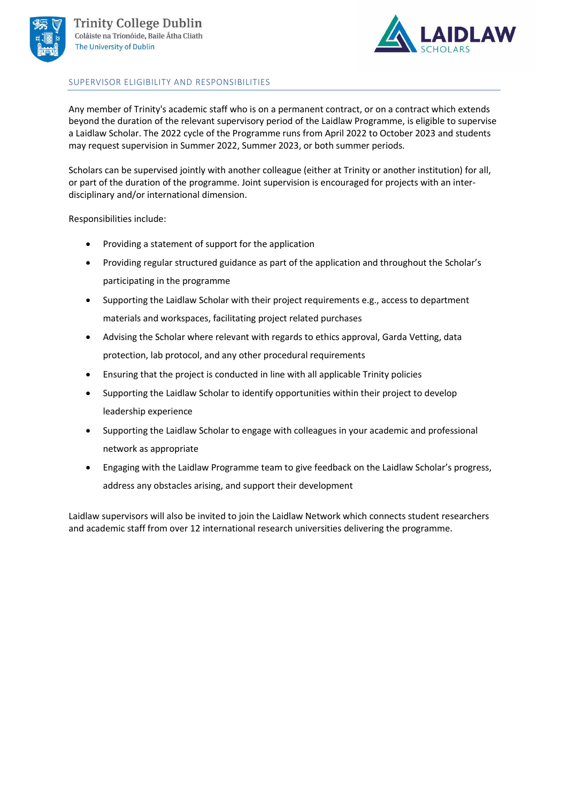



## SUPERVISOR ELIGIBILITY AND RESPONSIBILITIES

Any member of Trinity's academic staff who is on a permanent contract, or on a contract which extends beyond the duration of the relevant supervisory period of the Laidlaw Programme, is eligible to supervise a Laidlaw Scholar. The 2022 cycle of the Programme runs from April 2022 to October 2023 and students may request supervision in Summer 2022, Summer 2023, or both summer periods.

Scholars can be supervised jointly with another colleague (either at Trinity or another institution) for all, or part of the duration of the programme. Joint supervision is encouraged for projects with an interdisciplinary and/or international dimension.

Responsibilities include:

- Providing a statement of support for the application
- Providing regular structured guidance as part of the application and throughout the Scholar's participating in the programme
- Supporting the Laidlaw Scholar with their project requirements e.g., access to department materials and workspaces, facilitating project related purchases
- Advising the Scholar where relevant with regards to ethics approval, Garda Vetting, data protection, lab protocol, and any other procedural requirements
- Ensuring that the project is conducted in line with all applicable Trinity policies
- Supporting the Laidlaw Scholar to identify opportunities within their project to develop leadership experience
- Supporting the Laidlaw Scholar to engage with colleagues in your academic and professional network as appropriate
- Engaging with the Laidlaw Programme team to give feedback on the Laidlaw Scholar's progress, address any obstacles arising, and support their development

Laidlaw supervisors will also be invited to join the Laidlaw Network which connects student researchers and academic staff from over 12 international research universities delivering the programme.